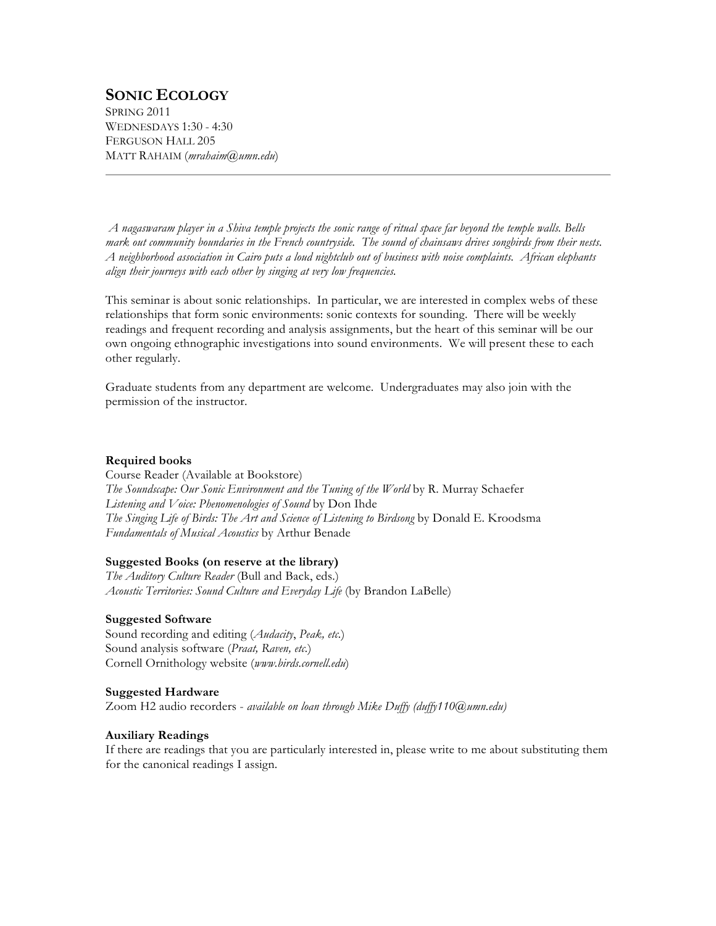# **SONIC ECOLOGY**

SPRING 2011 WEDNESDAYS 1:30 - 4:30 FERGUSON HALL 205 MATT RAHAIM (*mrahaim@umn.edu*)

*A nagaswaram player in a Shiva temple projects the sonic range of ritual space far beyond the temple walls. Bells mark out community boundaries in the French countryside. The sound of chainsaws drives songbirds from their nests. A neighborhood association in Cairo puts a loud nightclub out of business with noise complaints. African elephants align their journeys with each other by singing at very low frequencies.*

This seminar is about sonic relationships. In particular, we are interested in complex webs of these relationships that form sonic environments: sonic contexts for sounding. There will be weekly readings and frequent recording and analysis assignments, but the heart of this seminar will be our own ongoing ethnographic investigations into sound environments. We will present these to each other regularly.

Graduate students from any department are welcome. Undergraduates may also join with the permission of the instructor.

# **Required books**

Course Reader (Available at Bookstore) *The Soundscape: Our Sonic Environment and the Tuning of the World* by R. Murray Schaefer *Listening and Voice: Phenomenologies of Sound* by Don Ihde *The Singing Life of Birds: The Art and Science of Listening to Birdsong* by Donald E. Kroodsma *Fundamentals of Musical Acoustics* by Arthur Benade

# **Suggested Books (on reserve at the library)**

*The Auditory Culture Reader* (Bull and Back, eds.) *Acoustic Territories: Sound Culture and Everyday Life* (by Brandon LaBelle)

# **Suggested Software**

Sound recording and editing (*Audacity*, *Peak, etc.*) Sound analysis software (*Praat, Raven, etc.*) Cornell Ornithology website (*www.birds.cornell.edu*)

#### **Suggested Hardware**

Zoom H2 audio recorders - *available on loan through Mike Duffy (duffy110@umn.edu)*

#### **Auxiliary Readings**

If there are readings that you are particularly interested in, please write to me about substituting them for the canonical readings I assign.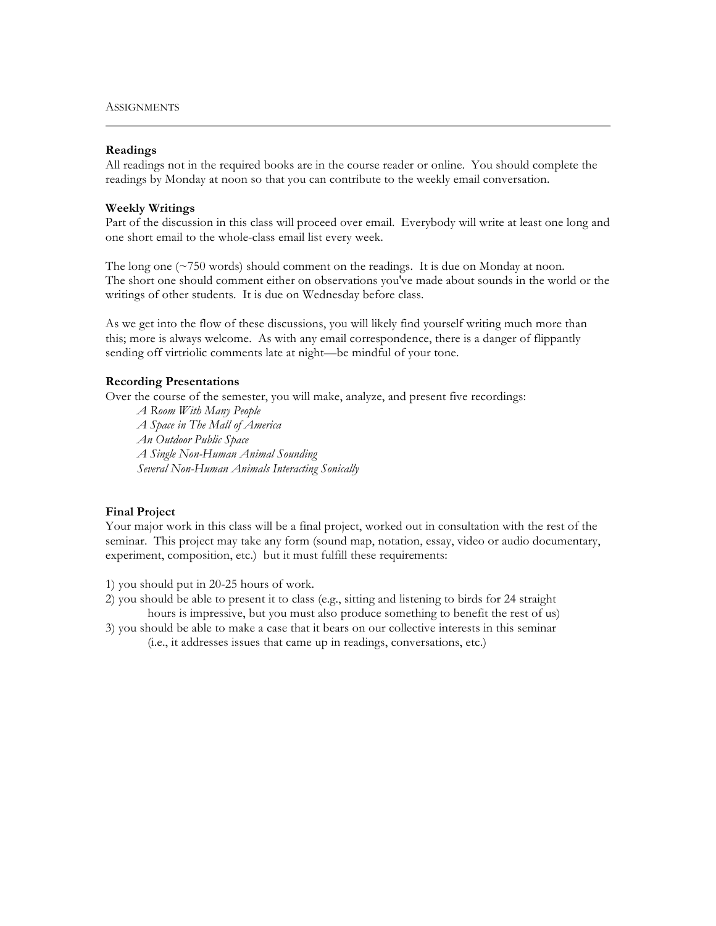#### **Readings**

All readings not in the required books are in the course reader or online. You should complete the readings by Monday at noon so that you can contribute to the weekly email conversation.

#### **Weekly Writings**

Part of the discussion in this class will proceed over email. Everybody will write at least one long and one short email to the whole-class email list every week.

The long one  $(\sim 750 \text{ words})$  should comment on the readings. It is due on Monday at noon. The short one should comment either on observations you've made about sounds in the world or the writings of other students. It is due on Wednesday before class.

As we get into the flow of these discussions, you will likely find yourself writing much more than this; more is always welcome. As with any email correspondence, there is a danger of flippantly sending off virtriolic comments late at night—be mindful of your tone.

# **Recording Presentations**

Over the course of the semester, you will make, analyze, and present five recordings:

*A Room With Many People A Space in The Mall of America An Outdoor Public Space A Single Non-Human Animal Sounding Several Non-Human Animals Interacting Sonically*

# **Final Project**

Your major work in this class will be a final project, worked out in consultation with the rest of the seminar. This project may take any form (sound map, notation, essay, video or audio documentary, experiment, composition, etc.) but it must fulfill these requirements:

- 1) you should put in 20-25 hours of work.
- 2) you should be able to present it to class (e.g., sitting and listening to birds for 24 straight hours is impressive, but you must also produce something to benefit the rest of us)
- 3) you should be able to make a case that it bears on our collective interests in this seminar
	- (i.e., it addresses issues that came up in readings, conversations, etc.)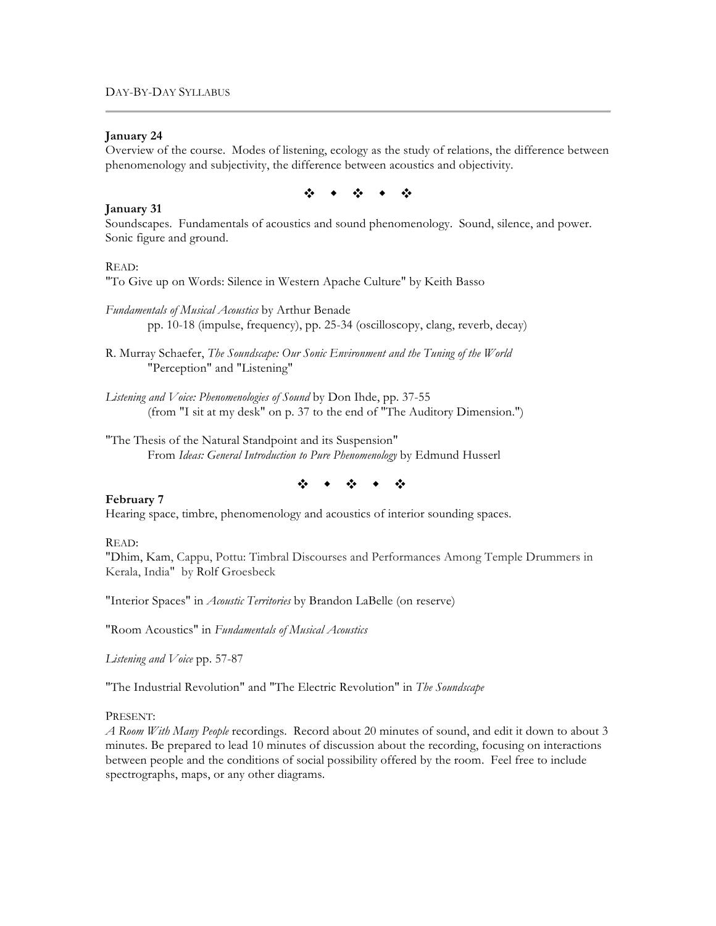# **January 24**

Overview of the course. Modes of listening, ecology as the study of relations, the difference between phenomenology and subjectivity, the difference between acoustics and objectivity.



# **January 31**

Soundscapes. Fundamentals of acoustics and sound phenomenology. Sound, silence, and power. Sonic figure and ground.

#### READ:

"To Give up on Words: Silence in Western Apache Culture" by Keith Basso

- *Fundamentals of Musical Acoustics* by Arthur Benade pp. 10-18 (impulse, frequency), pp. 25-34 (oscilloscopy, clang, reverb, decay)
- R. Murray Schaefer, *The Soundscape: Our Sonic Environment and the Tuning of the World* "Perception" and "Listening"
- *Listening and Voice: Phenomenologies of Sound* by Don Ihde, pp. 37-55 (from "I sit at my desk" on p. 37 to the end of "The Auditory Dimension.")
- "The Thesis of the Natural Standpoint and its Suspension" From *Ideas: General Introduction to Pure Phenomenology* by Edmund Husserl

# $\ddot{\phi}$  , and  $\ddot{\phi}$  , and  $\ddot{\phi}$

#### **February 7**

Hearing space, timbre, phenomenology and acoustics of interior sounding spaces.

#### READ:

"Dhim, Kam, Cappu, Pottu: Timbral Discourses and Performances Among Temple Drummers in Kerala, India" by Rolf Groesbeck

"Interior Spaces" in *Acoustic Territories* by Brandon LaBelle (on reserve)

"Room Acoustics" in *Fundamentals of Musical Acoustics*

*Listening and Voice* pp. 57-87

"The Industrial Revolution" and "The Electric Revolution" in *The Soundscape*

#### PRESENT:

*A Room With Many People* recordings. Record about 20 minutes of sound, and edit it down to about 3 minutes. Be prepared to lead 10 minutes of discussion about the recording, focusing on interactions between people and the conditions of social possibility offered by the room. Feel free to include spectrographs, maps, or any other diagrams.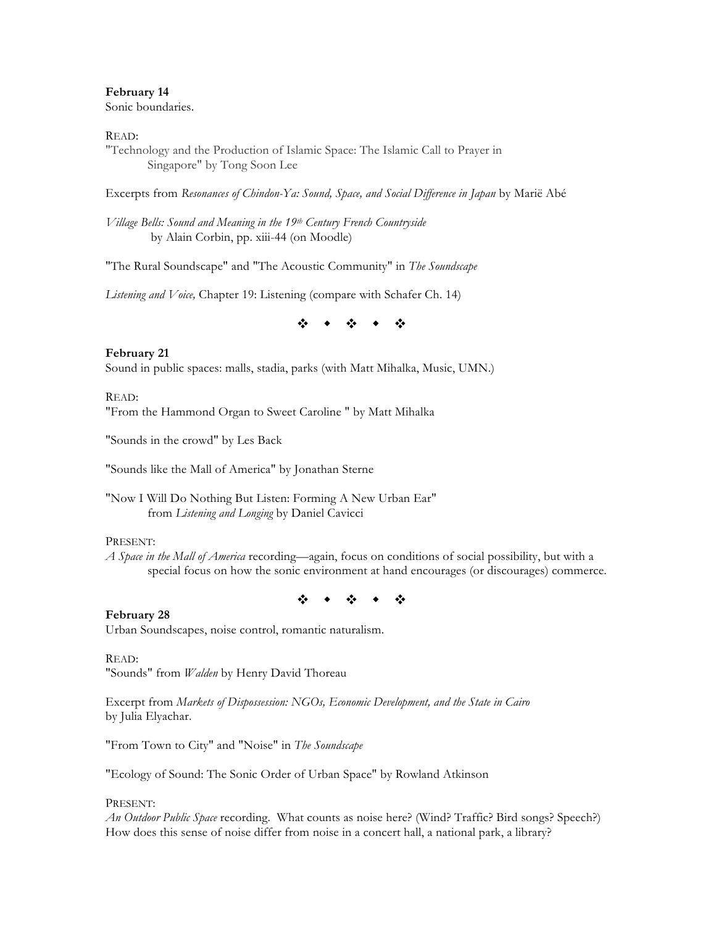# **February 14** Sonic boundaries.

# READ:

"Technology and the Production of Islamic Space: The Islamic Call to Prayer in Singapore" by Tong Soon Lee

Excerpts from *Resonances of Chindon-Ya: Sound, Space, and Social Difference in Japan* by Marië Abé

*Village Bells: Sound and Meaning in the 19th Century French Countryside* by Alain Corbin, pp. xiii-44 (on Moodle)

"The Rural Soundscape" and "The Acoustic Community" in *The Soundscape* 

*Listening and Voice,* Chapter 19: Listening (compare with Schafer Ch. 14)

※ ◆ ※

**February 21** Sound in public spaces: malls, stadia, parks (with Matt Mihalka, Music, UMN.)

#### READ:

"From the Hammond Organ to Sweet Caroline " by Matt Mihalka

"Sounds in the crowd" by Les Back

"Sounds like the Mall of America" by Jonathan Sterne

"Now I Will Do Nothing But Listen: Forming A New Urban Ear" from *Listening and Longing* by Daniel Cavicci

#### PRESENT:

*A Space in the Mall of America* recording—again, focus on conditions of social possibility, but with a special focus on how the sonic environment at hand encourages (or discourages) commerce.

 $\ddot{\phi}$  , and  $\ddot{\phi}$  , and  $\ddot{\phi}$ 

# **February 28**

Urban Soundscapes, noise control, romantic naturalism.

# READ:

"Sounds" from *Walden* by Henry David Thoreau

Excerpt from *Markets of Dispossession: NGOs, Economic Development, and the State in Cairo* by Julia Elyachar.

"From Town to City" and "Noise" in *The Soundscape* 

"Ecology of Sound: The Sonic Order of Urban Space" by Rowland Atkinson

#### PRESENT:

*An Outdoor Public Space* recording. What counts as noise here? (Wind? Traffic? Bird songs? Speech?) How does this sense of noise differ from noise in a concert hall, a national park, a library?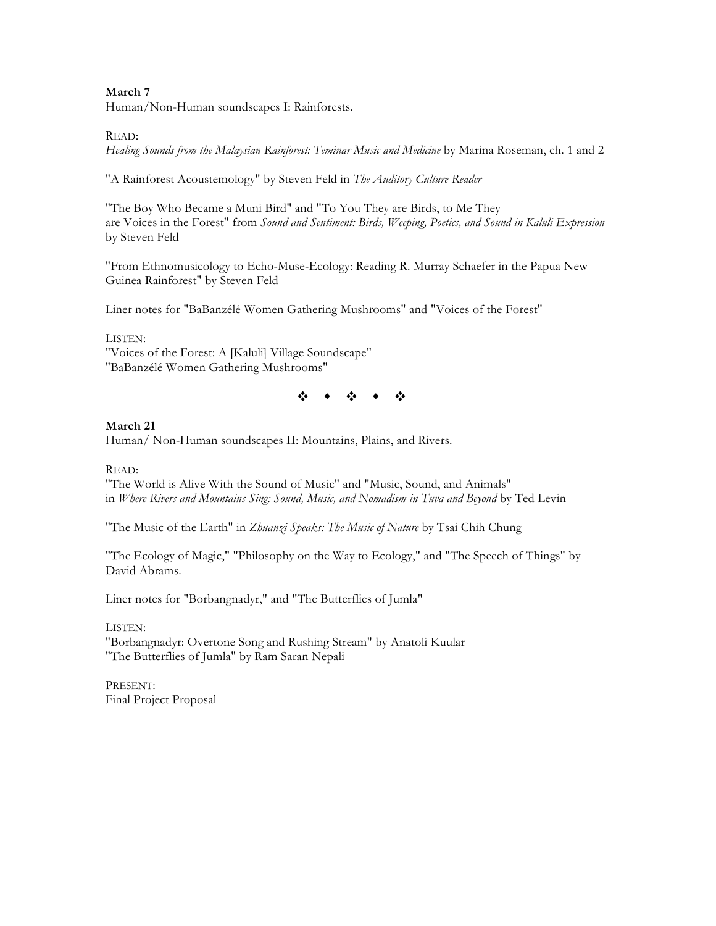# **March 7**

Human/Non-Human soundscapes I: Rainforests.

#### READ:

*Healing Sounds from the Malaysian Rainforest: Teminar Music and Medicine* by Marina Roseman, ch. 1 and 2

"A Rainforest Acoustemology" by Steven Feld in *The Auditory Culture Reader*

"The Boy Who Became a Muni Bird" and "To You They are Birds, to Me They are Voices in the Forest" from *Sound and Sentiment: Birds, Weeping, Poetics, and Sound in Kaluli Expression* by Steven Feld

"From Ethnomusicology to Echo-Muse-Ecology: Reading R. Murray Schaefer in the Papua New Guinea Rainforest" by Steven Feld

Liner notes for "BaBanzélé Women Gathering Mushrooms" and "Voices of the Forest"

#### LISTEN:

"Voices of the Forest: A [Kaluli] Village Soundscape" "BaBanzélé Women Gathering Mushrooms"

 $\begin{array}{ccccccccccccc} \mathcal{L}_{\mathcal{P}} & \mathcal{L}_{\mathcal{P}} & \mathcal{L}_{\mathcal{P}} & \mathcal{L}_{\mathcal{P}} & \mathcal{L}_{\mathcal{P}} & \mathcal{L}_{\mathcal{P}} \end{array}$ 

# **March 21**

Human/ Non-Human soundscapes II: Mountains, Plains, and Rivers.

READ:

"The World is Alive With the Sound of Music" and "Music, Sound, and Animals" in *Where Rivers and Mountains Sing: Sound, Music, and Nomadism in Tuva and Beyond* by Ted Levin

"The Music of the Earth" in *Zhuanzi Speaks: The Music of Nature* by Tsai Chih Chung

"The Ecology of Magic," "Philosophy on the Way to Ecology," and "The Speech of Things" by David Abrams.

Liner notes for "Borbangnadyr," and "The Butterflies of Jumla"

LISTEN: "Borbangnadyr: Overtone Song and Rushing Stream" by Anatoli Kuular "The Butterflies of Jumla" by Ram Saran Nepali

PRESENT: Final Project Proposal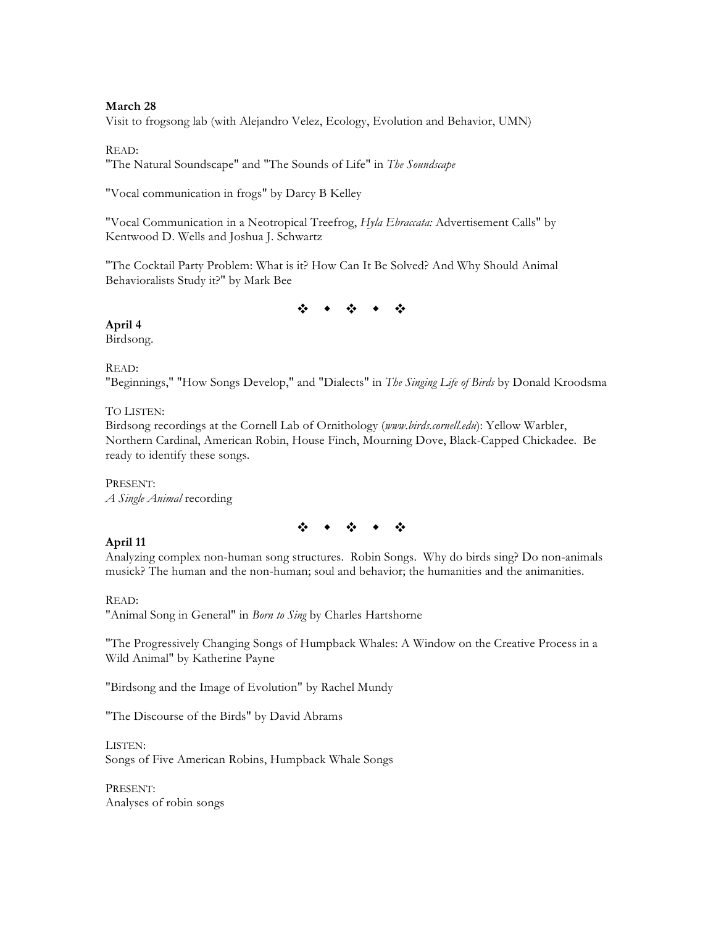# **March 28**

Visit to frogsong lab (with Alejandro Velez, Ecology, Evolution and Behavior, UMN)

#### READ:

"The Natural Soundscape" and "The Sounds of Life" in *The Soundscape*

"Vocal communication in frogs" by Darcy B Kelley

"Vocal Communication in a Neotropical Treefrog, *Hyla Ebraccata:* Advertisement Calls" by Kentwood D. Wells and Joshua J. Schwartz

"The Cocktail Party Problem: What is it? How Can It Be Solved? And Why Should Animal Behavioralists Study it?" by Mark Bee

 $\ddot{\Phi}$  ,  $\ddot{\Phi}$  ,  $\ddot{\Phi}$  ,  $\ddot{\Phi}$  ,  $\ddot{\Phi}$ 

# **April 4**

Birdsong.

#### READ:

"Beginnings," "How Songs Develop," and "Dialects" in *The Singing Life of Birds* by Donald Kroodsma

# TO LISTEN:

Birdsong recordings at the Cornell Lab of Ornithology (*www.birds.cornell.edu*): Yellow Warbler, Northern Cardinal, American Robin, House Finch, Mourning Dove, Black-Capped Chickadee. Be ready to identify these songs.

PRESENT: *A Single Animal* recording

 $\ddot{\phi}$  ,  $\dot{\phi}$  ,  $\ddot{\phi}$  ,  $\ddot{\phi}$  ,  $\ddot{\phi}$ 

# **April 11**

Analyzing complex non-human song structures. Robin Songs. Why do birds sing? Do non-animals musick? The human and the non-human; soul and behavior; the humanities and the animanities.

READ:

"Animal Song in General" in *Born to Sing* by Charles Hartshorne

"The Progressively Changing Songs of Humpback Whales: A Window on the Creative Process in a Wild Animal" by Katherine Payne

"Birdsong and the Image of Evolution" by Rachel Mundy

"The Discourse of the Birds" by David Abrams

LISTEN: Songs of Five American Robins, Humpback Whale Songs

PRESENT: Analyses of robin songs